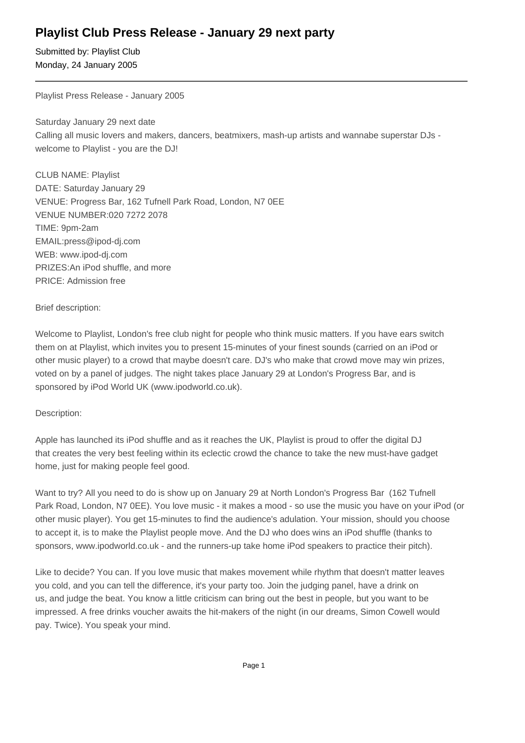# **Playlist Club Press Release - January 29 next party**

Submitted by: Playlist Club Monday, 24 January 2005

Playlist Press Release - January 2005

Saturday January 29 next date Calling all music lovers and makers, dancers, beatmixers, mash-up artists and wannabe superstar DJs welcome to Playlist - you are the DJ!

CLUB NAME: Playlist DATE: Saturday January 29 VENUE: Progress Bar, 162 Tufnell Park Road, London, N7 0EE VENUE NUMBER: 020 7272 2078 TIME: 9pm-2am EMAIL: press@ipod-dj.com WEB: www.ipod-dj.com PRIZES: An iPod shuffle, and more PRICE: Admission free

### Brief description:

Welcome to Playlist, London's free club night for people who think music matters. If you have ears switch them on at Playlist, which invites you to present 15-minutes of your finest sounds (carried on an iPod or other music player) to a crowd that maybe doesn't care. DJ's who make that crowd move may win prizes, voted on by a panel of judges. The night takes place January 29 at London's Progress Bar, and is sponsored by iPod World UK (www.ipodworld.co.uk).

## Description:

Apple has launched its iPod shuffle and as it reaches the UK, Playlist is proud to offer the digital DJ that creates the very best feeling within its eclectic crowd the chance to take the new must-have gadget home, just for making people feel good.

Want to try? All you need to do is show up on January 29 at North London's Progress Bar (162 Tufnell Park Road, London, N7 0EE). You love music - it makes a mood - so use the music you have on your iPod (or other music player). You get 15-minutes to find the audience's adulation. Your mission, should you choose to accept it, is to make the Playlist people move. And the DJ who does wins an iPod shuffle (thanks to sponsors, www.ipodworld.co.uk - and the runners-up take home iPod speakers to practice their pitch).

Like to decide? You can. If you love music that makes movement while rhythm that doesn't matter leaves you cold, and you can tell the difference, it's your party too. Join the judging panel, have a drink on us, and judge the beat. You know a little criticism can bring out the best in people, but you want to be impressed. A free drinks voucher awaits the hit-makers of the night (in our dreams, Simon Cowell would pay. Twice). You speak your mind.